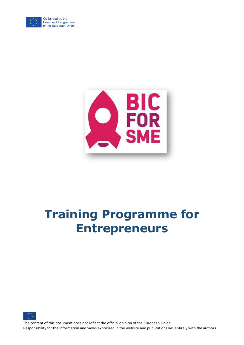

Co-funded by the Erasmus+ Programme<br>of the European Union



# **Training Programme for Entrepreneurs**



The content of this document does not reflect the official opinion of the European Union. Responsibility for the information and views expressed in the website and publications lies entirely with the authors.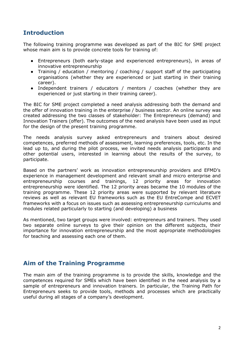## **Introduction**

The following training programme was developed as part of the BIC for SME project whose main aim is to provide concrete tools for training of:

- Entrepreneurs (both early-stage and experienced entrepreneurs), in areas of innovative entrepreneurship
- Training / education / mentoring / coaching / support staff of the participating organisations (whether they are experienced or just starting in their training career).
- Independent trainers / educators / mentors / coaches (whether they are experienced or just starting in their training career).

The BIC for SME project completed a need analysis addressing both the demand and the offer of innovation training in the enterprise / business sector. An online survey was created addressing the two classes of stakeholder: The Entrepreneurs (demand) and Innovation Trainers (offer). The outcomes of the need analysis have been used as input for the design of the present training programme.

The needs analysis survey asked entrepreneurs and trainers about desired competences, preferred methods of assessment, learning preferences, tools, etc. In the lead up to, and during the pilot process, we invited needs analysis participants and other potential users, interested in learning about the results of the survey, to participate.

Based on the partners' work as innovation entrepreneurship providers and EFMD's experience in management development and relevant small and micro enterprise and entrepreneurship courses and trainings, 12 priority areas for innovation entrepreneurship were identified. The 12 priority areas became the 10 modules of the training programme. These 12 priority areas were supported by relevant literature reviews as well as relevant EU frameworks such as the EU EntreCompe and ECVET frameworks with a focus on issues such as assessing entrepreneurship curriculums and modules related particularly to starting (and developing) a business

As mentioned, two target groups were involved: entrepreneurs and trainers. They used two separate online surveys to give their opinion on the different subjects, their importance for innovation entrepreneurship and the most appropriate methodologies for teaching and assessing each one of them.

## **Aim of the Training Programme**

The main aim of the training programme is to provide the skills, knowledge and the competences required for SMEs which have been identified in the need analysis by a sample of entrepreneurs and innovation trainers. In particular, the Training Path for Entrepreneurs seeks to provide tools, methods and processes which are practically useful during all stages of a company's development.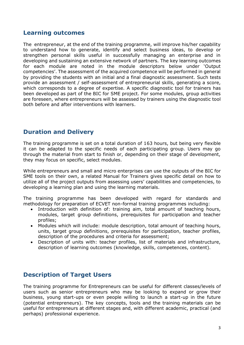#### **Learning outcomes**

The entrepreneur, at the end of the training programme, will improve his/her capability to understand how to generate, identify and select business ideas, to develop or strengthen personal skills useful in successfully managing an enterprise and in developing and sustaining an extensive network of partners. The key learning outcomes for each module are noted in the module descriptors below under 'Output competencies'. The assessment of the acquired competence will be performed in general by providing the students with an initial and a final diagnostic assessment. Such tests provide an assessment / self-assessment of entrepreneurial skills, generating a score, which corresponds to a degree of expertise. A specific diagnostic tool for trainers has been developed as part of the BIC for SME project. For some modules, group activities are foreseen, where entrepreneurs will be assessed by trainers using the diagnostic tool both before and after interventions with learners.

## **Duration and Delivery**

The training programme is set on a total duration of 163 hours, but being very flexible it can be adapted to the specific needs of each participating group. Users may go through the material from start to finish or, depending on their stage of development, they may focus on specific, select modules.

While entrepreneurs and small and micro enterprises can use the outputs of the BIC for SME tools on their own, a related Manual for Trainers gives specific detail on how to utilize all of the project outputs from assessing users' capabilities and competencies, to developing a learning plan and using the learning materials.

The training programme has been developed with regard for standards and methodology for preparation of ECVET non-formal training programmes including:

- Introduction with definition of: training aim, total amount of teaching hours, modules, target group definitions, prerequisites for participation and teacher profiles;
- Modules which will include: module description, total amount of teaching hours, units, target group definitions, prerequisites for participation, teacher profiles, description of the procedures and criteria for assessment;
- Description of units with: teacher profiles, list of materials and infrastructure, description of learning outcomes (knowledge, skills, competences, content).

## **Description of Target Users**

The training programme for Entrepreneurs can be useful for different classes/levels of users such as senior entrepreneurs who may be looking to expand or grow their business, young start-ups or even people willing to launch a start-up in the future (potential entrepreneurs). The key concepts, tools and the training materials can be useful for entrepreneurs at different stages and, with different academic, practical (and perhaps) professional experience.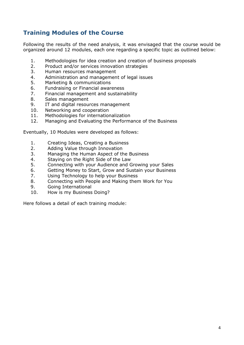## **Training Modules of the Course**

Following the results of the need analysis, it was envisaged that the course would be organized around 12 modules, each one regarding a specific topic as outlined below:

- 1. Methodologies for idea creation and creation of business proposals
- 2. Product and/or services innovation strategies
- 3. Human resources management
- 4. Administration and management of legal issues
- 5. Marketing & communications
- 6. Fundraising or Financial awareness
- 7. Financial management and sustainability
- 8. Sales management
- 9. IT and digital resources management
- 10. Networking and cooperation
- 11. Methodologies for internationalization
- 12. Managing and Evaluating the Performance of the Business

Eventually, 10 Modules were developed as follows:

- 1. Creating Ideas, Creating a Business
- 2. Adding Value through Innovation
- 3. Managing the Human Aspect of the Business
- 4. Staying on the Right Side of the Law
- 5. Connecting with your Audience and Growing your Sales
- 6. Getting Money to Start, Grow and Sustain your Business
- 7. Using Technology to help your Business
- 8. Connecting with People and Making them Work for You
- 9. Going International
- 10. How is my Business Doing?

Here follows a detail of each training module: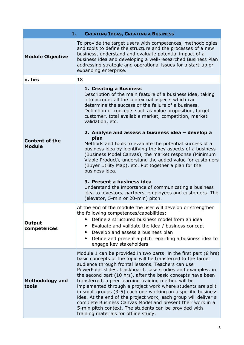| 1.                                     | <b>CREATING IDEAS, CREATING A BUSINESS</b>                                                                                                                                                                                                                                                                                                                                                                                                                                                                                                                                                                                                                                                                                                          |  |
|----------------------------------------|-----------------------------------------------------------------------------------------------------------------------------------------------------------------------------------------------------------------------------------------------------------------------------------------------------------------------------------------------------------------------------------------------------------------------------------------------------------------------------------------------------------------------------------------------------------------------------------------------------------------------------------------------------------------------------------------------------------------------------------------------------|--|
| <b>Module Objective</b>                | To provide the target users with competences, methodologies<br>and tools to define the structure and the processes of a new<br>business, understand and evaluate potential impact of a<br>business idea and developing a well-researched Business Plan<br>addressing strategic and operational issues for a start-up or<br>expanding enterprise.                                                                                                                                                                                                                                                                                                                                                                                                    |  |
| n. hrs                                 | 18                                                                                                                                                                                                                                                                                                                                                                                                                                                                                                                                                                                                                                                                                                                                                  |  |
| <b>Content of the</b><br><b>Module</b> | 1. Creating a Business<br>Description of the main feature of a business idea, taking<br>into account all the contextual aspects which can<br>determine the success or the failure of a business.<br>Definition of concepts such as value proposition, target<br>customer, total available market, competition, market<br>validation, etc.<br>2. Analyse and assess a business idea - develop a<br>plan<br>Methods and tools to evaluate the potential success of a<br>business idea by identifying the key aspects of a business<br>(Business Model Canvas), the market response (Minimum                                                                                                                                                           |  |
|                                        | Viable Product), understand the added value for customers<br>(Buyer Utility Map), etc. Put together a plan for the<br>business idea.<br>3. Present a business idea<br>Understand the importance of communicating a business<br>idea to investors, partners, employees and customers. The<br>(elevator, 5-min or 20-min) pitch.                                                                                                                                                                                                                                                                                                                                                                                                                      |  |
| Output<br>competences                  | At the end of the module the user will develop or strengthen<br>the following competences/capabilities:<br>Define a structured business model from an idea<br>Evaluate and validate the idea / business concept<br>Develop and assess a business plan<br>$\bullet$<br>Define and present a pitch regarding a business idea to<br>engage key stakeholders                                                                                                                                                                                                                                                                                                                                                                                            |  |
| <b>Methodology and</b><br>tools        | Module 1 can be provided in two parts: in the first part (8 hrs)<br>basic concepts of the topic will be transferred to the target<br>audience through frontal lessons. Teachers can use<br>PowerPoint slides, blackboard, case studies and examples; in<br>the second part (10 hrs), after the basic concepts have been<br>transferred, a peer learning training method will be<br>implemented through a project work where students are split<br>in small groups (3-5) each one working on a specific business<br>idea. At the end of the project work, each group will deliver a<br>complete Business Canvas Model and present their work in a<br>5-min pitch context. The students can be provided with<br>training materials for offline study. |  |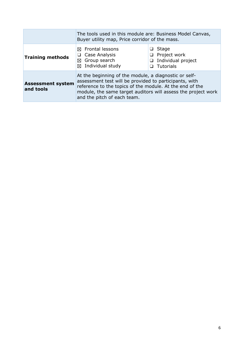|                                       | The tools used in this module are: Business Model Canvas,<br>Buyer utility map, Price corridor of the mass.                                                                                                                                                                 |                                                                      |
|---------------------------------------|-----------------------------------------------------------------------------------------------------------------------------------------------------------------------------------------------------------------------------------------------------------------------------|----------------------------------------------------------------------|
| <b>Training methods</b>               | $\boxtimes$ Frontal lessons<br>Case Analysis<br>❏<br>⊠ Group search<br>$\boxtimes$ Individual study                                                                                                                                                                         | Stage<br>$\Box$ Project work<br>Individual project<br>❏<br>Tutorials |
| <b>Assessment system</b><br>and tools | At the beginning of the module, a diagnostic or self-<br>assessment test will be provided to participants, with<br>reference to the topics of the module. At the end of the<br>module, the same target auditors will assess the project work<br>and the pitch of each team. |                                                                      |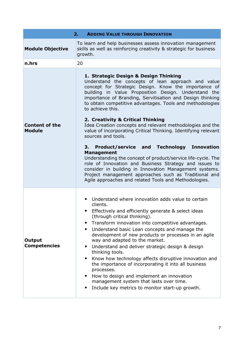| 2.1<br><b>ADDING VALUE THROUGH INNOVATION</b> |                                                                                                                                                                                                                                                                                                                                                                                                                                                                                                                                                                                                                                                                                                                                                                                                                                                                                                                                          |  |
|-----------------------------------------------|------------------------------------------------------------------------------------------------------------------------------------------------------------------------------------------------------------------------------------------------------------------------------------------------------------------------------------------------------------------------------------------------------------------------------------------------------------------------------------------------------------------------------------------------------------------------------------------------------------------------------------------------------------------------------------------------------------------------------------------------------------------------------------------------------------------------------------------------------------------------------------------------------------------------------------------|--|
| <b>Module Objective</b>                       | To learn and help businesses assess innovation management<br>skills as well as reinforcing creativity & strategic for business<br>growth.                                                                                                                                                                                                                                                                                                                                                                                                                                                                                                                                                                                                                                                                                                                                                                                                |  |
| n.hrs                                         | 20                                                                                                                                                                                                                                                                                                                                                                                                                                                                                                                                                                                                                                                                                                                                                                                                                                                                                                                                       |  |
| <b>Content of the</b><br><b>Module</b>        | 1. Strategic Design & Design Thinking<br>Understand the concepts of lean approach and value<br>concept for Strategic Design. Know the importance of<br>building in Value Proposition Design. Understand the<br>importance of Branding, Servitisation and Design thinking<br>to obtain competitive advantages. Tools and methodologies<br>to achieve this.<br>2. Creativity & Critical Thinking<br>Idea Creation concepts and relevant methodologies and the<br>value of incorporating Critical Thinking. Identifying relevant<br>sources and tools.<br><b>Technology Innovation</b><br>3. Product/service and<br><b>Management</b><br>Understanding the concept of product/service life-cycle. The<br>role of Innovation and Business Strategy and issues to<br>consider in building in Innovation Management systems.<br>Project management approaches such as Traditional and<br>Agile approaches and related Tools and Methodologies. |  |
| Output<br><b>Competencies</b>                 | Understand where innovation adds value to certain<br>clients.<br>• Effectively and efficiently generate & select ideas<br>(through critical thinking).<br>Transform innovation into competitive advantages.<br>$\bullet$<br>Understand basic Lean concepts and manage the<br>development of new products or processes in an agile<br>way and adapted to the market.<br>Understand and deliver strategic design & design<br>$\bullet$<br>thinking tools.<br>Know how technology affects disruptive innovation and<br>$\bullet$<br>the importance of incorporating it into all business<br>processes.<br>How to design and implement an innovation<br>$\bullet$<br>management system that lasts over time.<br>Include key metrics to monitor start-up growth.<br>٠                                                                                                                                                                         |  |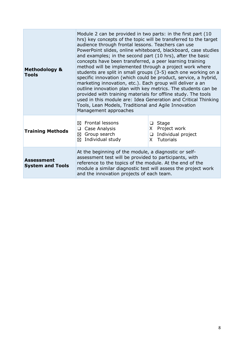| <b>Methodology &amp;</b><br><b>Tools</b>     | Module 2 can be provided in two parts: in the first part (10)<br>hrs) key concepts of the topic will be transferred to the target<br>audience through frontal lessons. Teachers can use<br>PowerPoint slides, online whiteboard, blackboard, case studies<br>and examples; in the second part (10 hrs), after the basic<br>concepts have been transferred, a peer learning training<br>method will be implemented through a project work where<br>students are split in small groups (3-5) each one working on a<br>specific innovation (which could be product, service, a hybrid,<br>marketing innovation, etc.). Each group will deliver a an<br>outline innovation plan with key metrics. The students can be<br>provided with training materials for offline study. The tools<br>used in this module are: Idea Generation and Critical Thinking<br>Tools, Lean Models, Traditional and Agile Innovation<br>Management approaches |                                                                                            |
|----------------------------------------------|---------------------------------------------------------------------------------------------------------------------------------------------------------------------------------------------------------------------------------------------------------------------------------------------------------------------------------------------------------------------------------------------------------------------------------------------------------------------------------------------------------------------------------------------------------------------------------------------------------------------------------------------------------------------------------------------------------------------------------------------------------------------------------------------------------------------------------------------------------------------------------------------------------------------------------------|--------------------------------------------------------------------------------------------|
| <b>Training Methods</b>                      | $\boxtimes$ Frontal lessons<br>$\Box$ Case Analysis<br>⊠ Group search<br>Individual study<br>⊠                                                                                                                                                                                                                                                                                                                                                                                                                                                                                                                                                                                                                                                                                                                                                                                                                                        | Stage<br>□<br>Project work<br>X.<br>Individual project<br>$\Box$<br><b>Tutorials</b><br>X. |
| <b>Assessment</b><br><b>System and Tools</b> | At the beginning of the module, a diagnostic or self-<br>assessment test will be provided to participants, with<br>reference to the topics of the module. At the end of the<br>module a similar diagnostic test will assess the project work<br>and the innovation projects of each team.                                                                                                                                                                                                                                                                                                                                                                                                                                                                                                                                                                                                                                             |                                                                                            |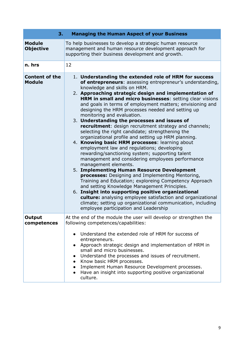| <b>Managing the Human Aspect of your Business</b><br>3. |                                                                                                                                                                                                                                                                                                                                                                                                                                                                                                                                                                                                                                                                                                                                                                                                                                                                                                                                                                                                                                                                                                                                                                                                                                                                                                                             |  |
|---------------------------------------------------------|-----------------------------------------------------------------------------------------------------------------------------------------------------------------------------------------------------------------------------------------------------------------------------------------------------------------------------------------------------------------------------------------------------------------------------------------------------------------------------------------------------------------------------------------------------------------------------------------------------------------------------------------------------------------------------------------------------------------------------------------------------------------------------------------------------------------------------------------------------------------------------------------------------------------------------------------------------------------------------------------------------------------------------------------------------------------------------------------------------------------------------------------------------------------------------------------------------------------------------------------------------------------------------------------------------------------------------|--|
| <b>Module</b><br><b>Objective</b>                       | To help businesses to develop a strategic human resource<br>management and human resource development approach for<br>supporting their business development and growth.                                                                                                                                                                                                                                                                                                                                                                                                                                                                                                                                                                                                                                                                                                                                                                                                                                                                                                                                                                                                                                                                                                                                                     |  |
| n. hrs                                                  | 12                                                                                                                                                                                                                                                                                                                                                                                                                                                                                                                                                                                                                                                                                                                                                                                                                                                                                                                                                                                                                                                                                                                                                                                                                                                                                                                          |  |
| <b>Content of the</b><br><b>Module</b>                  | 1. Understanding the extended role of HRM for success<br>of entrepreneurs: assessing entrepreneur's understanding,<br>knowledge and skills on HRM.<br>2. Approaching strategic design and implementation of<br>HRM in small and micro businesses: setting clear visions<br>and goals in terms of employment matters; envisioning and<br>designing the HRM processes needed and setting up<br>monitoring and evaluation.<br>3. Understanding the processes and issues of<br><b>recruitment:</b> design recruitment strategy and channels;<br>selecting the right candidate; strengthening the<br>organizational profile and setting up HRM planning.<br>4. Knowing basic HRM processes: learning about<br>employment law and regulations; developing<br>rewarding/sanctioning system; supporting talent<br>management and considering employees performance<br>management elements.<br>5. Implementing Human Resource Development<br>processes: Designing and Implementing Mentoring,<br>Training and Education; exploreing Competency Approach<br>and setting Knowledge Management Principles.<br>6. Insight into supporting positive organizational<br>culture: analysing employee satisfaction and organizational<br>climate; setting up organizational communication, including<br>employee participation and Leadership |  |
| Output<br>competences                                   | At the end of the module the user will develop or strengthen the<br>following competences/capabilities:<br>Understand the extended role of HRM for success of<br>entrepreneurs.<br>Approach strategic design and implementation of HRM in<br>small and micro businesses.<br>Understand the processes and issues of recruitment.<br>Know basic HRM processes.<br>Implement Human Resource Development processes.<br>$\bullet$<br>Have an insight into supporting positive organizational<br>$\bullet$<br>culture.                                                                                                                                                                                                                                                                                                                                                                                                                                                                                                                                                                                                                                                                                                                                                                                                            |  |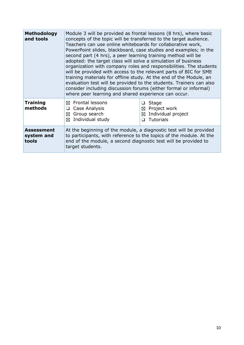| <b>Methodology</b><br>and tools          | Module 3 will be provided as frontal lessons (8 hrs), where basic<br>concepts of the topic will be transferred to the target audience.<br>Teachers can use online whiteboards for collaborative work,<br>PowerPoint slides, blackboard, case studies and examples; in the<br>second part (4 hrs), a peer learning training method will be<br>adopted: the target class will solve a simulation of business<br>organization with company roles and responsibilities. The students<br>will be provided with access to the relevant parts of BIC for SME<br>training materials for offline study. At the end of the Module, an<br>evaluation test will be provided to the students. Trainers can also<br>consider including discussion forums (either formal or informal)<br>where peer learning and shared experience can occur. |                                                                                       |
|------------------------------------------|--------------------------------------------------------------------------------------------------------------------------------------------------------------------------------------------------------------------------------------------------------------------------------------------------------------------------------------------------------------------------------------------------------------------------------------------------------------------------------------------------------------------------------------------------------------------------------------------------------------------------------------------------------------------------------------------------------------------------------------------------------------------------------------------------------------------------------|---------------------------------------------------------------------------------------|
| <b>Training</b><br>methods               | $\boxtimes$ Frontal lessons<br>Case Analysis<br>❏<br>Group search<br>⊠<br>Individual study<br>⊠                                                                                                                                                                                                                                                                                                                                                                                                                                                                                                                                                                                                                                                                                                                                | <b>Stage</b><br>Project work<br>⊠<br>Individual project<br>⊠<br><b>Tutorials</b><br>∩ |
| <b>Assessment</b><br>system and<br>tools | At the beginning of the module, a diagnostic test will be provided<br>to participants, with reference to the topics of the module. At the<br>end of the module, a second diagnostic test will be provided to<br>target students.                                                                                                                                                                                                                                                                                                                                                                                                                                                                                                                                                                                               |                                                                                       |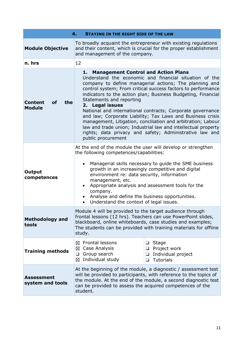| 4.<br><b>STAYING IN THE RIGHT SIDE OF THE LAW</b>   |                                                                                                                                                                                                                                                                                                                                                                                                                                                                                                                                                                                                                                                                                                   |  |
|-----------------------------------------------------|---------------------------------------------------------------------------------------------------------------------------------------------------------------------------------------------------------------------------------------------------------------------------------------------------------------------------------------------------------------------------------------------------------------------------------------------------------------------------------------------------------------------------------------------------------------------------------------------------------------------------------------------------------------------------------------------------|--|
| <b>Module Objective</b>                             | To broadly acquaint the entrepreneur with existing regulations<br>and their content, which is crucial for the proper establishment<br>and management of the company.                                                                                                                                                                                                                                                                                                                                                                                                                                                                                                                              |  |
| n. hrs                                              | 12                                                                                                                                                                                                                                                                                                                                                                                                                                                                                                                                                                                                                                                                                                |  |
| <b>Content</b><br><b>of</b><br>the<br><b>Module</b> | <b>Management Control and Action Plans</b><br>1.<br>Understand the economic and financial situation of the<br>company to define managerial actions; The planning and<br>control system; From critical success factors to performance<br>indicators to the action plan; Business Budgeting, Financial<br>Statements and reporting<br>2. Legal issues<br>National and international contracts; Corporate governance<br>and law; Corporate Liability; Tax Laws and Business crisis<br>management, Litigation, conciliation and arbitration; Labour<br>law and trade union; Industrial law and intellectual property<br>rights; data privacy and safety; Administrative law and<br>public procurement |  |
| Output<br>competences                               | At the end of the module the user will develop or strengthen<br>the following competences/capabilities:<br>Managerial skills necessary to guide the SME business<br>growth in an increasingly competitive and digital<br>environment re: data security, information<br>management, etc.<br>Appropriate analysis and assessment tools for the<br>company.<br>Analyse and define the business opportunities.<br>Understand the context of legal issues.<br>$\bullet$                                                                                                                                                                                                                                |  |
| <b>Methodology and</b><br>tools                     | Module 4 will be provided to the target audience through<br>frontal lessons (12 hrs). Teachers can use PowerPoint slides,<br>blackboard, online whiteboards, case studies and examples;<br>The students can be provided with training materials for offline<br>study.                                                                                                                                                                                                                                                                                                                                                                                                                             |  |
| <b>Training methods</b>                             | <b>Frontal lessons</b><br><b>Stage</b><br>⊠<br>⊔<br>⊠ Case Analysis<br>$\Box$ Project work<br>Group search<br>Individual project<br>❏<br>❏<br>Individual study<br>⊠<br><b>Tutorials</b><br>❏                                                                                                                                                                                                                                                                                                                                                                                                                                                                                                      |  |
| <b>Assessment</b><br>system and tools               | At the beginning of the module, a diagnostic / assessment test<br>will be provided to participants, with reference to the topics of<br>the module. At the end of the module, a second diagnostic test<br>can be provided to assess the acquired competences of the<br>student.                                                                                                                                                                                                                                                                                                                                                                                                                    |  |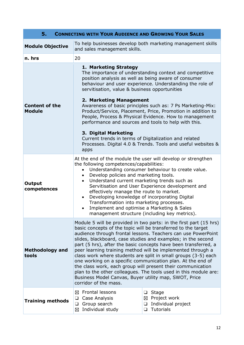| <b>CONNECTING WITH YOUR AUDIENCE AND GROWING YOUR SALES</b><br>5. |                                                                                                                                                                                                                                                                                                                                                                                                                                                                                                                                                                                                                                                                                                                                                              |                                                                                     |  |
|-------------------------------------------------------------------|--------------------------------------------------------------------------------------------------------------------------------------------------------------------------------------------------------------------------------------------------------------------------------------------------------------------------------------------------------------------------------------------------------------------------------------------------------------------------------------------------------------------------------------------------------------------------------------------------------------------------------------------------------------------------------------------------------------------------------------------------------------|-------------------------------------------------------------------------------------|--|
| <b>Module Objective</b>                                           | To help businesses develop both marketing management skills<br>and sales management skills.                                                                                                                                                                                                                                                                                                                                                                                                                                                                                                                                                                                                                                                                  |                                                                                     |  |
| n. hrs                                                            | 20                                                                                                                                                                                                                                                                                                                                                                                                                                                                                                                                                                                                                                                                                                                                                           |                                                                                     |  |
| <b>Content of the</b>                                             | 1. Marketing Strategy<br>The importance of understanding context and competitive<br>position analysis as well as being aware of consumer<br>behaviour and user experience. Understanding the role of<br>servitisation, value & business opportunities<br>2. Marketing Management                                                                                                                                                                                                                                                                                                                                                                                                                                                                             |                                                                                     |  |
| <b>Module</b>                                                     | Awareness of basic principles such as: 7 Ps Marketing-Mix:<br>Product/Service, Placement, Price, Promotion in addition to<br>People, Process & Physical Evidence. How to management<br>performance and sources and tools to help with this.                                                                                                                                                                                                                                                                                                                                                                                                                                                                                                                  |                                                                                     |  |
|                                                                   | 3. Digital Marketing<br>Current trends in terms of Digitalization and related<br>Processes. Digital 4.0 & Trends. Tools and useful websites &<br>apps                                                                                                                                                                                                                                                                                                                                                                                                                                                                                                                                                                                                        |                                                                                     |  |
| Output<br>competences                                             | At the end of the module the user will develop or strengthen<br>the following competences/capabilities:<br>Understanding consumer behaviour to create value.<br>$\bullet$<br>Develop policies and marketing tools.<br>$\bullet$<br>Understand current marketing trends such as<br>$\bullet$<br>Servitisation and User Experience development and<br>effectively manage the route to market.<br>Developing knowledge of incorporating Digital<br>$\bullet$<br>Transformation into marketing processes.<br>Implement and optimise a Marketing & Sales<br>$\bullet$<br>management structure (including key metrics).                                                                                                                                            |                                                                                     |  |
| <b>Methodology and</b><br>tools                                   | Module 5 will be provided in two parts: in the first part (15 hrs)<br>basic concepts of the topic will be transferred to the target<br>audience through frontal lessons. Teachers can use PowerPoint<br>slides, blackboard, case studies and examples; in the second<br>part (5 hrs), after the basic concepts have been transferred, a<br>peer learning training method will be implemented through a<br>class work where students are split in small groups (3-5) each<br>one working on a specific communication plan. At the end of<br>the class work, each group will present their communication<br>plan to the other colleagues. The tools used in this module are:<br>Business Model Canvas, Buyer utility map, SWOT, Price<br>corridor of the mass. |                                                                                     |  |
| <b>Training methods</b>                                           | <b>Frontal lessons</b><br>⊠<br>Case Analysis<br>❏<br>Group search<br>❏<br>Individual study<br>⊠                                                                                                                                                                                                                                                                                                                                                                                                                                                                                                                                                                                                                                                              | Stage<br>❏<br>Project work<br>⊠<br>Individual project<br>⊔<br><b>Tutorials</b><br>□ |  |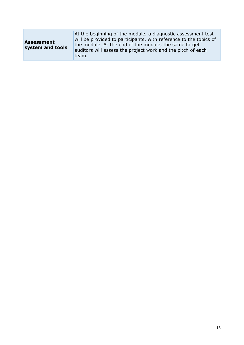| <b>Assessment</b><br>system and tools | At the beginning of the module, a diagnostic assessment test<br>will be provided to participants, with reference to the topics of<br>the module. At the end of the module, the same target<br>auditors will assess the project work and the pitch of each<br>team. |
|---------------------------------------|--------------------------------------------------------------------------------------------------------------------------------------------------------------------------------------------------------------------------------------------------------------------|
|---------------------------------------|--------------------------------------------------------------------------------------------------------------------------------------------------------------------------------------------------------------------------------------------------------------------|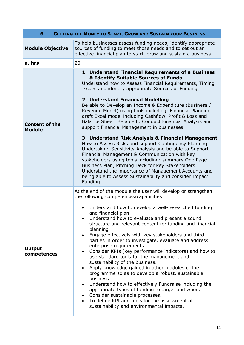| 6.<br><b>GETTING THE MONEY TO START, GROW AND SUSTAIN YOUR BUSINESS</b> |                                                                                                                                                                                                                                                                                                                                                                                                                                                                                                                                                                                                                                                                                                                                                                                                                                                                                                                                                                                                                       |  |
|-------------------------------------------------------------------------|-----------------------------------------------------------------------------------------------------------------------------------------------------------------------------------------------------------------------------------------------------------------------------------------------------------------------------------------------------------------------------------------------------------------------------------------------------------------------------------------------------------------------------------------------------------------------------------------------------------------------------------------------------------------------------------------------------------------------------------------------------------------------------------------------------------------------------------------------------------------------------------------------------------------------------------------------------------------------------------------------------------------------|--|
| <b>Module Objective</b>                                                 | To help businesses assess funding needs, identify appropriate<br>sources of funding to meet those needs and to set out an<br>effective financial plan to start, grow and sustain a business.                                                                                                                                                                                                                                                                                                                                                                                                                                                                                                                                                                                                                                                                                                                                                                                                                          |  |
| n. hrs                                                                  | 20                                                                                                                                                                                                                                                                                                                                                                                                                                                                                                                                                                                                                                                                                                                                                                                                                                                                                                                                                                                                                    |  |
| <b>Content of the</b><br><b>Module</b>                                  | 1 Understand Financial Requirements of a Business<br>& Identify Suitable Sources of Funds<br>Understand how to Assess Financial Requirements, Timing<br>Issues and identify appropriate Sources of Funding<br>2 Understand Financial Modelling<br>Be able to Develop an Income & Expenditure (Business /<br>Revenue Model) using tools including: Financial Planning<br>draft Excel model including Cashflow, Profit & Loss and<br>Balance Sheet. Be able to Conduct Financial Analysis and<br>support Financial Management in businesses<br>3 Understand Risk Analysis & Financial Management<br>How to Assess Risks and support Contingency Planning.<br>Undertaking Sensitivity Analysis and be able to Support<br>Financial Management & Communication with key<br>stakeholders using tools including: summary One Page<br>Business Plan, Pitching Deck for key Stakeholders.<br>Understand the importance of Management Accounts and<br>being able to Assess Sustainability and consider Impact<br>Funding       |  |
| Output<br>competences                                                   | At the end of the module the user will develop or strengthen<br>the following competences/capabilities:<br>Understand how to develop a well-researched funding<br>and financial plan<br>Understand how to evaluate and present a sound<br>structure and relevant content for funding and financial<br>planning<br>Engage effectively with key stakeholders and third<br>$\bullet$<br>parties in order to investigate, evaluate and address<br>enterprise requirements<br>Consider KPIs (key performance indicators) and how to<br>$\bullet$<br>use standard tools for the management and<br>sustainability of the business.<br>Apply knowledge gained in other modules of the<br>$\bullet$<br>programme so as to develop a robust, sustainable<br>business<br>Understand how to effectively Fundraise including the<br>$\bullet$<br>appropriate types of funding to target and when.<br>Consider sustainable processes.<br>To define KPI and tools for the assessment of<br>sustainability and environmental impacts. |  |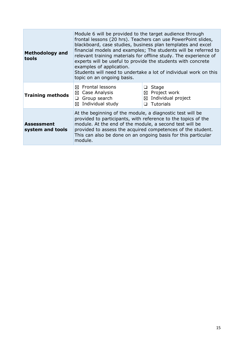| <b>Methodology and</b><br>tools       | Module 6 will be provided to the target audience through<br>frontal lessons (20 hrs). Teachers can use PowerPoint slides,<br>blackboard, case studies, business plan templates and excel<br>financial models and examples; The students will be referred to<br>relevant training materials for offline study. The experience of<br>experts will be useful to provide the students with concrete<br>examples of application.<br>Students will need to undertake a lot of individual work on this<br>topic on an ongoing basis. |                                                                                              |
|---------------------------------------|-------------------------------------------------------------------------------------------------------------------------------------------------------------------------------------------------------------------------------------------------------------------------------------------------------------------------------------------------------------------------------------------------------------------------------------------------------------------------------------------------------------------------------|----------------------------------------------------------------------------------------------|
| <b>Training methods</b>               | Frontal lessons<br>⊠<br>Case Analysis<br>⊠<br>Group search<br>❏<br>Individual study<br>⊠                                                                                                                                                                                                                                                                                                                                                                                                                                      | <b>Stage</b><br>$\boxtimes$ Project work<br>Individual project<br>⊠<br><b>Tutorials</b><br>∩ |
| <b>Assessment</b><br>system and tools | At the beginning of the module, a diagnostic test will be<br>provided to participants, with reference to the topics of the<br>module. At the end of the module, a second test will be<br>provided to assess the acquired competences of the student.<br>This can also be done on an ongoing basis for this particular<br>module.                                                                                                                                                                                              |                                                                                              |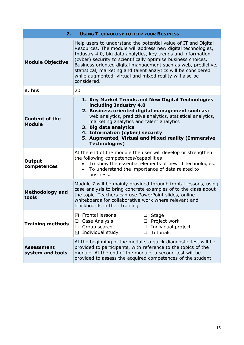| 7.<br><b>USING TECHNOLOGY TO HELP YOUR BUSINESS</b> |                                                                                                                                                                                                                                                                                                                                                                                                                                                                              |                                                                                     |
|-----------------------------------------------------|------------------------------------------------------------------------------------------------------------------------------------------------------------------------------------------------------------------------------------------------------------------------------------------------------------------------------------------------------------------------------------------------------------------------------------------------------------------------------|-------------------------------------------------------------------------------------|
| <b>Module Objective</b>                             | Help users to understand the potential value of IT and Digital<br>Resources. The module will address new digital technologies,<br>Industry 4.0, big data analytics, key trends and information<br>(cyber) security to scientifically optimise business choices.<br>Business oriented digital management such as web, predictive,<br>statistical, marketing and talent analytics will be considered<br>while augmented, virtual and mixed reality will also be<br>considered. |                                                                                     |
| n. hrs                                              | 20                                                                                                                                                                                                                                                                                                                                                                                                                                                                           |                                                                                     |
| <b>Content of the</b><br><b>Module</b>              | 1. Key Market Trends and New Digital Technologies<br>including Industry 4.0<br>2. Business oriented digital management such as:<br>web analytics, predictive analytics, statistical analytics,<br>marketing analytics and talent analytics<br>3. Big data analytics<br>4. Information (cyber) security<br>5. Augmented, Virtual and Mixed reality (Immersive<br><b>Technologies)</b>                                                                                         |                                                                                     |
| Output<br>competences                               | At the end of the module the user will develop or strengthen<br>the following competences/capabilities:<br>• To know the essential elements of new IT technologies.<br>To understand the importance of data related to<br>business.                                                                                                                                                                                                                                          |                                                                                     |
| <b>Methodology and</b><br>tools                     | Module 7 will be mainly provided through frontal lessons, using<br>case analysis to bring concrete examples of to the class about<br>the topic. Teachers can use PowerPoint slides, online<br>whiteboards for collaborative work where relevant and<br>blackboards in their training                                                                                                                                                                                         |                                                                                     |
| <b>Training methods</b>                             | Frontal lessons<br>⊠<br>Case Analysis<br>❏<br>Group search<br>$\Box$<br>Individual study<br>⊠                                                                                                                                                                                                                                                                                                                                                                                | Stage<br>❏<br>Project work<br>⊔<br>Individual project<br>□<br><b>Tutorials</b><br>❏ |
| <b>Assessment</b><br>system and tools               | At the beginning of the module, a quick diagnostic test will be<br>provided to participants, with reference to the topics of the<br>module. At the end of the module, a second test will be<br>provided to assess the acquired competences of the student.                                                                                                                                                                                                                   |                                                                                     |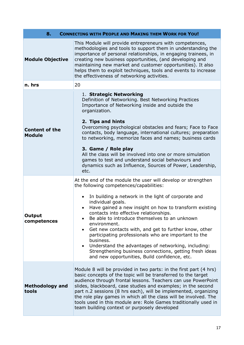| 8.<br><b>CONNECTING WITH PEOPLE AND MAKING THEM WORK FOR YOU!</b> |                                                                                                                                                                                                                                                                                                                                                                                                                                                                                                                                                                                                                                                                                     |  |
|-------------------------------------------------------------------|-------------------------------------------------------------------------------------------------------------------------------------------------------------------------------------------------------------------------------------------------------------------------------------------------------------------------------------------------------------------------------------------------------------------------------------------------------------------------------------------------------------------------------------------------------------------------------------------------------------------------------------------------------------------------------------|--|
| <b>Module Objective</b>                                           | This Module will provide entrepreneurs with competences,<br>methodologies and tools to support them in understanding the<br>importance of personal relationships, in engaging trainees, in<br>creating new business opportunities, (and developing and<br>maintaining new market and customer opportunities). It also<br>helps them to exploit techniques, tools and events to increase<br>the effectiveness of networking activities.                                                                                                                                                                                                                                              |  |
| n. hrs                                                            | 20                                                                                                                                                                                                                                                                                                                                                                                                                                                                                                                                                                                                                                                                                  |  |
| <b>Content of the</b><br><b>Module</b>                            | 1. Strategic Networking<br>Definition of Networking. Best Networking Practices<br>Importance of Networking inside and outside the<br>organization.<br>2. Tips and hints<br>Overcoming psychological obstacles and fears; Face to Face<br>contacts, body language, international cultures; preparation<br>to networking, memorize faces and names; business cards<br>3. Game / Role play<br>All the class will be involved into one or more simulation<br>games to test and understand social behaviours and<br>dynamics such as Influence, Sources of Power, Leadership,<br>etc.                                                                                                    |  |
| <b>Output</b><br>competences                                      | At the end of the module the user will develop or strengthen<br>the following competences/capabilities:<br>In building a network in the light of corporate and<br>$\bullet$<br>individual goals.<br>Have gained a new insight on how to transform existing<br>contacts into effective relationships.<br>Be able to introduce themselves to an unknown<br>environment.<br>Get new contacts with, and get to further know, other<br>$\bullet$<br>participating professionals who are important to the<br>business.<br>Understand the advantages of networking, including:<br>Strengthening business connections, getting fresh ideas<br>and new opportunities, Build confidence, etc. |  |
| <b>Methodology and</b><br>tools                                   | Module 8 will be provided in two parts: in the first part (4 hrs)<br>basic concepts of the topic will be transferred to the target<br>audience through frontal lessons. Teachers can use PowerPoint<br>slides, blackboard, case studies and examples; in the second<br>part n.2 sessions (8 hrs each), will be implemented, organizing<br>the role play games in which all the class will be involved. The<br>tools used in this module are: Role Games traditionally used in<br>team building context or purposely developed                                                                                                                                                       |  |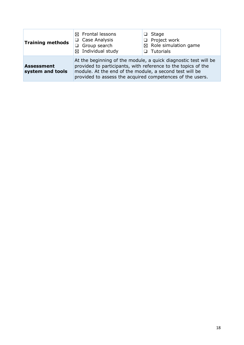| <b>Training methods</b>               | $\boxtimes$ Frontal lessons<br>$\Box$ Case Analysis<br>Group search<br>$\boxtimes$ Individual study                                                                                                                                                      | Stage<br>ப<br>$\Box$ Project work<br>$\boxtimes$ Role simulation game<br>$\Box$ Tutorials |
|---------------------------------------|----------------------------------------------------------------------------------------------------------------------------------------------------------------------------------------------------------------------------------------------------------|-------------------------------------------------------------------------------------------|
| <b>Assessment</b><br>system and tools | At the beginning of the module, a quick diagnostic test will be<br>provided to participants, with reference to the topics of the<br>module. At the end of the module, a second test will be<br>provided to assess the acquired competences of the users. |                                                                                           |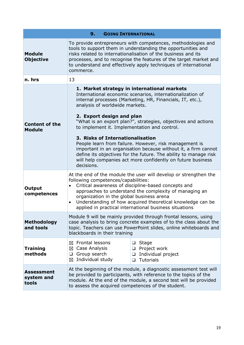| <b>GOING INTERNATIONAL</b><br>9.         |                                                                                                                                                                                                                                                                                                                                                                                                                                                                                                                                                                                                                                                                        |                                                                 |  |  |
|------------------------------------------|------------------------------------------------------------------------------------------------------------------------------------------------------------------------------------------------------------------------------------------------------------------------------------------------------------------------------------------------------------------------------------------------------------------------------------------------------------------------------------------------------------------------------------------------------------------------------------------------------------------------------------------------------------------------|-----------------------------------------------------------------|--|--|
| <b>Module</b><br><b>Objective</b>        | To provide entrepreneurs with competences, methodologies and<br>tools to support them in understanding the opportunities and<br>risks related to internationalisation of the business and its<br>processes, and to recognise the features of the target market and<br>to understand and effectively apply techniques of international<br>commerce.                                                                                                                                                                                                                                                                                                                     |                                                                 |  |  |
| n. hrs                                   | 13                                                                                                                                                                                                                                                                                                                                                                                                                                                                                                                                                                                                                                                                     |                                                                 |  |  |
| <b>Content of the</b><br><b>Module</b>   | 1. Market strategy in international markets<br>International economic scenarios, internationalization of<br>internal processes (Marketing, HR, Financials, IT, etc.),<br>analysis of worldwide markets.<br>2. Export design and plan<br>"What is an export plan?", strategies, objectives and actions<br>to implement it. Implementation and control.<br>3. Risks of Internationalisation<br>People learn from failure. However, risk management is<br>important in an organisation because without it, a firm cannot<br>define its objectives for the future. The ability to manage risk<br>will help companies act more confidently on future business<br>decisions. |                                                                 |  |  |
| Output<br>competences                    | At the end of the module the user will develop or strengthen the<br>following competences/capabilities:<br>Critical awareness of discipline-based concepts and<br>$\bullet$<br>approaches to understand the complexity of managing an<br>organization in the global business arena<br>Understanding of how acquired theoretical knowledge can be<br>$\bullet$<br>applied in practical international business situations                                                                                                                                                                                                                                                |                                                                 |  |  |
| <b>Methodology</b><br>and tools          | Module 9 will be mainly provided through frontal lessons, using<br>case analysis to bring concrete examples of to the class about the<br>topic. Teachers can use PowerPoint slides, online whiteboards and<br>blackboards in their training                                                                                                                                                                                                                                                                                                                                                                                                                            |                                                                 |  |  |
| <b>Training</b><br>methods               | Frontal lessons<br>❏<br>⊠<br>Case Analysis<br>⊠<br>$\Box$<br>Group search<br>$\Box$<br>$\Box$<br>Individual study<br>⊠<br>$\Box$                                                                                                                                                                                                                                                                                                                                                                                                                                                                                                                                       | Stage<br>Project work<br>Individual project<br><b>Tutorials</b> |  |  |
| <b>Assessment</b><br>system and<br>tools | At the beginning of the module, a diagnostic assessment test will<br>be provided to participants, with reference to the topics of the<br>module. At the end of the module, a second test will be provided<br>to assess the acquired competences of the student.                                                                                                                                                                                                                                                                                                                                                                                                        |                                                                 |  |  |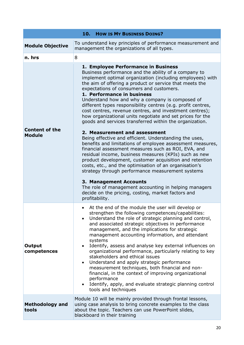|                                        | 10.<br><b>HOW IS MY BUSINESS DOING?</b>                                                                                                                                                                                                                                                                                                                                                                                                                                                                                                                                                                                                                                                                                                                                                                                                                                                                                                                                                                                                                                                                                                                                                                         |  |
|----------------------------------------|-----------------------------------------------------------------------------------------------------------------------------------------------------------------------------------------------------------------------------------------------------------------------------------------------------------------------------------------------------------------------------------------------------------------------------------------------------------------------------------------------------------------------------------------------------------------------------------------------------------------------------------------------------------------------------------------------------------------------------------------------------------------------------------------------------------------------------------------------------------------------------------------------------------------------------------------------------------------------------------------------------------------------------------------------------------------------------------------------------------------------------------------------------------------------------------------------------------------|--|
| <b>Module Objective</b>                | To understand key principles of performance measurement and<br>management the organizations of all types.                                                                                                                                                                                                                                                                                                                                                                                                                                                                                                                                                                                                                                                                                                                                                                                                                                                                                                                                                                                                                                                                                                       |  |
| n. hrs                                 | 8                                                                                                                                                                                                                                                                                                                                                                                                                                                                                                                                                                                                                                                                                                                                                                                                                                                                                                                                                                                                                                                                                                                                                                                                               |  |
| <b>Content of the</b><br><b>Module</b> | 1. Employee Performance in Business<br>Business performance and the ability of a company to<br>implement optimal organization (including employees) with<br>the aim of offering a product or service that meets the<br>expectations of consumers and customers.<br>1. Performance in business<br>Understand how and why a company is composed of<br>different types responsibility centres (e.g. profit centres,<br>cost centres, revenue centres, and investment centres);<br>how organizational units negotiate and set prices for the<br>goods and services transferred within the organization.<br>2. Measurement and assessment<br>Being effective and efficient. Understanding the uses,<br>benefits and limitations of employee assessment measures,<br>financial assessment measures such as ROI, EVA, and<br>residual income, business measures (KPIs) such as new<br>product development, customer acquisition and retention<br>costs, etc., and the optimisation of an organisation's<br>strategy through performance measurement systems<br>3. Management Accounts<br>The role of management accounting in helping managers<br>decide on the pricing, costing, market factors and<br>profitability. |  |
| <b>Output</b><br>competences           | At the end of the module the user will develop or<br>strengthen the following competences/capabilities:<br>Understand the role of strategic planning and control,<br>and associated strategic objectives in performance<br>management, and the implications for strategic<br>management accounting information, and attendant<br>systems<br>Identify, assess and analyse key external influences on<br>$\bullet$<br>organizational performance, particularly relating to key<br>stakeholders and ethical issues<br>Understand and apply strategic performance<br>$\bullet$<br>measurement techniques, both financial and non-<br>financial, in the context of improving organizational<br>performance<br>Identify, apply, and evaluate strategic planning control<br>tools and techniques                                                                                                                                                                                                                                                                                                                                                                                                                       |  |
| <b>Methodology and</b><br>tools        | Module 10 will be mainly provided through frontal lessons,<br>using case analysis to bring concrete examples to the class<br>about the topic. Teachers can use PowerPoint slides,<br>blackboard in their training                                                                                                                                                                                                                                                                                                                                                                                                                                                                                                                                                                                                                                                                                                                                                                                                                                                                                                                                                                                               |  |